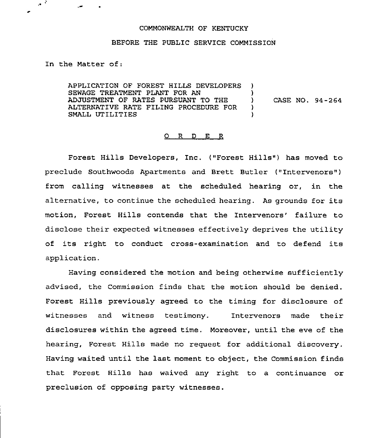## COMMONWEALTH OF KENTUCKY

## BEFORE THE PUBLIC SERVICE COMMISSION

In the Matter of:

 $\sim$   $^{\circ}$ 

APPLICATION OF FOREST HILLS DEVELOPERS SEWAGE TREATMENT PLANT FOR AN ADJUSTMENT OF RATES PURSUANT TO THE ALTERNATIVE RATE FILING PROCEDURE FOR SMALL UTILITIES ) ) ) CASE NO. 94-264 ) )

## 0 <sup>R</sup> <sup>D</sup> E R

Forest Hills Developers, Inc. ("Forest Hills") has moved to preclude Southwoods Apartments and Brett Butler ("Intervenors") from calling witnesses at the scheduled hearing or, in the alternative, to continue the scheduled hearing. As grounds for its motion, Forest Hills contends that the Intervenors' failure to disclose their expected witnesses effectively deprives the utility of its right to conduct cross-examination and to defend its application.

Having considered the motion and being otherwise sufficiently advised, the Commission finds that the motion should be denied. Forest Hills previously agreed to the timing for disclosure of witnesses and witness testimony. Intervenors made their disclosures within the agreed time. Moreover, until the eve of the hearing, Forest Hills made no request for additional discovery. Having waited until the last moment to object, the Commission finds that Forest Hills has waived any right to a continuance or preclusion of opposing party witnesses.